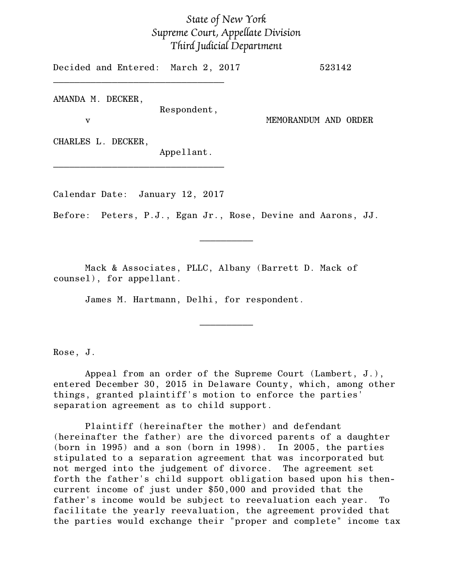## *State of New York Supreme Court, Appellate Division Third Judicial Department*

Decided and Entered: March 2, 2017 523142 \_\_\_\_\_\_\_\_\_\_\_\_\_\_\_\_\_\_\_\_\_\_\_\_\_\_\_\_\_\_\_\_

AMANDA M. DECKER, Respondent,

v MEMORANDUM AND ORDER

CHARLES L. DECKER,

Appellant.

Calendar Date: January 12, 2017

\_\_\_\_\_\_\_\_\_\_\_\_\_\_\_\_\_\_\_\_\_\_\_\_\_\_\_\_\_\_\_\_

Before: Peters, P.J., Egan Jr., Rose, Devine and Aarons, JJ.

 $\frac{1}{2}$ 

Mack & Associates, PLLC, Albany (Barrett D. Mack of counsel), for appellant.

James M. Hartmann, Delhi, for respondent.

Rose, J.

Appeal from an order of the Supreme Court (Lambert, J.), entered December 30, 2015 in Delaware County, which, among other things, granted plaintiff's motion to enforce the parties' separation agreement as to child support.

 $\overline{\phantom{a}}$   $\overline{\phantom{a}}$   $\overline{\phantom{a}}$   $\overline{\phantom{a}}$   $\overline{\phantom{a}}$   $\overline{\phantom{a}}$   $\overline{\phantom{a}}$   $\overline{\phantom{a}}$   $\overline{\phantom{a}}$   $\overline{\phantom{a}}$   $\overline{\phantom{a}}$   $\overline{\phantom{a}}$   $\overline{\phantom{a}}$   $\overline{\phantom{a}}$   $\overline{\phantom{a}}$   $\overline{\phantom{a}}$   $\overline{\phantom{a}}$   $\overline{\phantom{a}}$   $\overline{\$ 

Plaintiff (hereinafter the mother) and defendant (hereinafter the father) are the divorced parents of a daughter (born in 1995) and a son (born in 1998). In 2005, the parties stipulated to a separation agreement that was incorporated but not merged into the judgement of divorce. The agreement set forth the father's child support obligation based upon his thencurrent income of just under \$50,000 and provided that the father's income would be subject to reevaluation each year. To facilitate the yearly reevaluation, the agreement provided that the parties would exchange their "proper and complete" income tax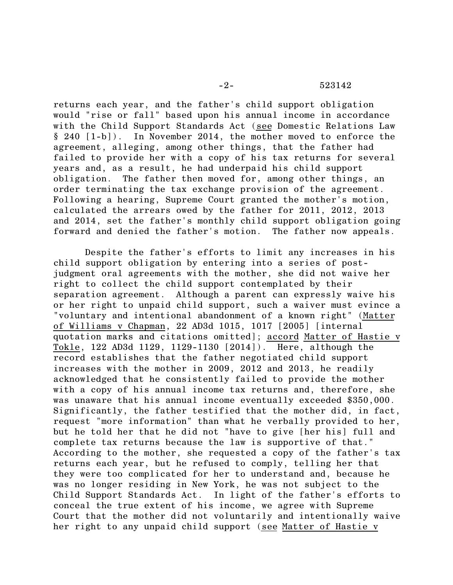returns each year, and the father's child support obligation would "rise or fall" based upon his annual income in accordance with the Child Support Standards Act (see Domestic Relations Law § 240 [1-b]). In November 2014, the mother moved to enforce the agreement, alleging, among other things, that the father had failed to provide her with a copy of his tax returns for several years and, as a result, he had underpaid his child support obligation. The father then moved for, among other things, an order terminating the tax exchange provision of the agreement. Following a hearing, Supreme Court granted the mother's motion, calculated the arrears owed by the father for 2011, 2012, 2013 and 2014, set the father's monthly child support obligation going forward and denied the father's motion. The father now appeals.

Despite the father's efforts to limit any increases in his child support obligation by entering into a series of postjudgment oral agreements with the mother, she did not waive her right to collect the child support contemplated by their separation agreement. Although a parent can expressly waive his or her right to unpaid child support, such a waiver must evince a "voluntary and intentional abandonment of a known right" (Matter of Williams v Chapman, 22 AD3d 1015, 1017 [2005] [internal quotation marks and citations omitted]; accord Matter of Hastie v Tokle, 122 AD3d 1129, 1129-1130 [2014]). Here, although the record establishes that the father negotiated child support increases with the mother in 2009, 2012 and 2013, he readily acknowledged that he consistently failed to provide the mother with a copy of his annual income tax returns and, therefore, she was unaware that his annual income eventually exceeded \$350,000. Significantly, the father testified that the mother did, in fact, request "more information" than what he verbally provided to her, but he told her that he did not "have to give [her his] full and complete tax returns because the law is supportive of that." According to the mother, she requested a copy of the father's tax returns each year, but he refused to comply, telling her that they were too complicated for her to understand and, because he was no longer residing in New York, he was not subject to the Child Support Standards Act. In light of the father's efforts to conceal the true extent of his income, we agree with Supreme Court that the mother did not voluntarily and intentionally waive her right to any unpaid child support (see Matter of Hastie v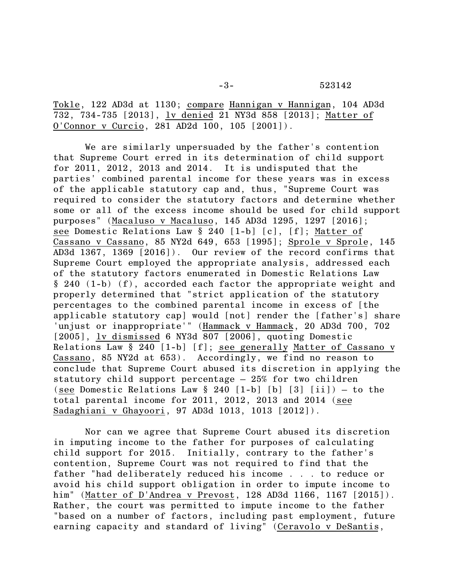-3- 523142

Tokle, 122 AD3d at 1130; compare Hannigan v Hannigan, 104 AD3d 732, 734-735 [2013], lv denied 21 NY3d 858 [2013]; Matter of O'Connor v Curcio, 281 AD2d 100, 105 [2001]).

We are similarly unpersuaded by the father's contention that Supreme Court erred in its determination of child support for 2011, 2012, 2013 and 2014. It is undisputed that the parties' combined parental income for these years was in excess of the applicable statutory cap and, thus, "Supreme Court was required to consider the statutory factors and determine whether some or all of the excess income should be used for child support purposes" (Macaluso v Macaluso, 145 AD3d 1295, 1297 [2016]; see Domestic Relations Law § 240 [1-b] [c], [f]; Matter of Cassano v Cassano, 85 NY2d 649, 653 [1995]; Sprole v Sprole, 145 AD3d 1367, 1369 [2016]). Our review of the record confirms that Supreme Court employed the appropriate analysis, addressed each of the statutory factors enumerated in Domestic Relations Law § 240 (1-b) (f), accorded each factor the appropriate weight and properly determined that "strict application of the statutory percentages to the combined parental income in excess of [the applicable statutory cap] would [not] render the [father's] share 'unjust or inappropriate'" (Hammack v Hammack, 20 AD3d 700, 702 [2005], lv dismissed 6 NY3d 807 [2006], quoting Domestic Relations Law § 240 [1-b] [f]; see generally Matter of Cassano v Cassano, 85 NY2d at 653). Accordingly, we find no reason to conclude that Supreme Court abused its discretion in applying the statutory child support percentage – 25% for two children (see Domestic Relations Law  $\S$  240 [1-b] [b] [3] [ii]) – to the total parental income for 2011, 2012, 2013 and 2014 (see Sadaghiani v Ghayoori, 97 AD3d 1013, 1013 [2012]).

Nor can we agree that Supreme Court abused its discretion in imputing income to the father for purposes of calculating child support for 2015. Initially, contrary to the father's contention, Supreme Court was not required to find that the father "had deliberately reduced his income . . . to reduce or avoid his child support obligation in order to impute income to him" (Matter of D'Andrea v Prevost, 128 AD3d 1166, 1167 [2015]). Rather, the court was permitted to impute income to the father "based on a number of factors, including past employment, future earning capacity and standard of living" (Ceravolo v DeSantis,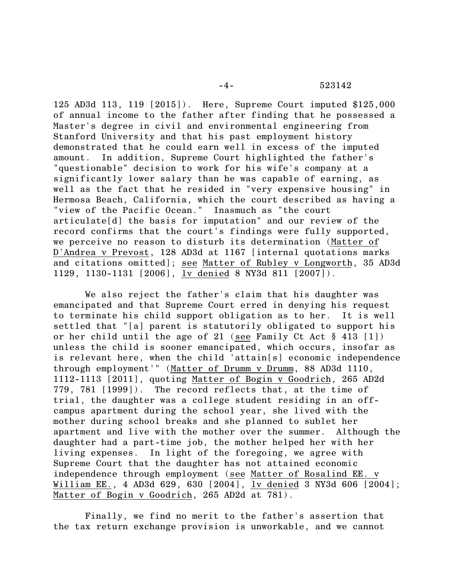125 AD3d 113, 119 [2015]). Here, Supreme Court imputed \$125,000 of annual income to the father after finding that he possessed a Master's degree in civil and environmental engineering from Stanford University and that his past employment history demonstrated that he could earn well in excess of the imputed amount. In addition, Supreme Court highlighted the father's "questionable" decision to work for his wife's company at a significantly lower salary than he was capable of earning, as well as the fact that he resided in "very expensive housing" in Hermosa Beach, California, which the court described as having a "view of the Pacific Ocean." Inasmuch as "the court articulate[d] the basis for imputation" and our review of the record confirms that the court's findings were fully supported, we perceive no reason to disturb its determination (Matter of D'Andrea v Prevost, 128 AD3d at 1167 [internal quotations marks and citations omitted]; see Matter of Rubley v Longworth, 35 AD3d 1129, 1130-1131 [2006], lv denied 8 NY3d 811 [2007]).

We also reject the father's claim that his daughter was emancipated and that Supreme Court erred in denying his request to terminate his child support obligation as to her. It is well settled that "[a] parent is statutorily obligated to support his or her child until the age of 21 (see Family Ct Act § 413 [1]) unless the child is sooner emancipated, which occurs, insofar as is relevant here, when the child 'attain[s] economic independence through employment'" (Matter of Drumm v Drumm, 88 AD3d 1110, 1112-1113 [2011], quoting Matter of Bogin v Goodrich, 265 AD2d 779, 781 [1999]). The record reflects that, at the time of trial, the daughter was a college student residing in an offcampus apartment during the school year, she lived with the mother during school breaks and she planned to sublet her apartment and live with the mother over the summer. Although the daughter had a part-time job, the mother helped her with her living expenses. In light of the foregoing, we agree with Supreme Court that the daughter has not attained economic independence through employment (see Matter of Rosalind EE. v William EE., 4 AD3d 629, 630 [2004], lv denied 3 NY3d 606 [2004]; Matter of Bogin v Goodrich, 265 AD2d at 781).

Finally, we find no merit to the father's assertion that the tax return exchange provision is unworkable, and we cannot